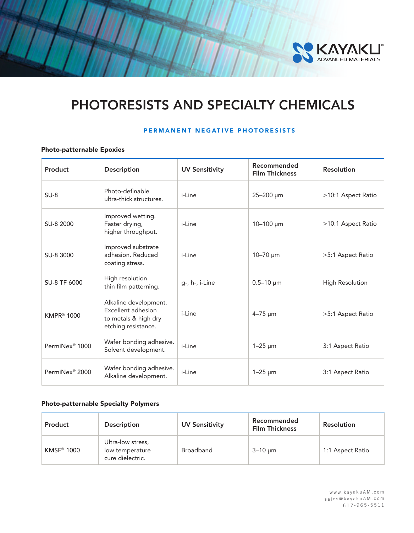

# PHOTORESISTS AND SPECIALTY CHEMICALS

## PERMANENT NEGATIVE PHOTORESISTS

## Photo-patternable Epoxies

| Product                    | Description                                                                                | <b>UV Sensitivity</b> | Recommended<br><b>Film Thickness</b> | <b>Resolution</b>      |
|----------------------------|--------------------------------------------------------------------------------------------|-----------------------|--------------------------------------|------------------------|
| $SU-8$                     | Photo-definable<br>ultra-thick structures.                                                 | i-l ine               | 25-200 µm                            | >10:1 Aspect Ratio     |
| SU-8 2000                  | Improved wetting.<br>Faster drying,<br>higher throughput.                                  | <i>i</i> -Line        | $10 - 100 \mu m$                     | >10:1 Aspect Ratio     |
| SU-8 3000                  | Improved substrate<br>adhesion, Reduced<br>coating stress.                                 | i-l ine               | $10 - 70 \mu m$                      | >5:1 Aspect Ratio      |
| SU-8 TF 6000               | High resolution<br>thin film patterning.                                                   | g-, h-, i-Line        | $0.5 - 10 \mu m$                     | <b>High Resolution</b> |
| <b>KMPR® 1000</b>          | Alkaline development.<br>Excellent adhesion<br>to metals & high dry<br>etching resistance. | <i>i</i> -Line        | $4 - 75 \mu m$                       | >5:1 Aspect Ratio      |
| PermiNex <sup>®</sup> 1000 | Wafer bonding adhesive.<br>Solvent development.                                            | i-Line                | $1-25 \mu m$                         | 3:1 Aspect Ratio       |
| PermiNex <sup>®</sup> 2000 | Wafer bonding adhesive.<br>Alkaline development.                                           | <i>i</i> -Line        | $1-25 \mu m$                         | 3:1 Aspect Ratio       |

## Photo-patternable Specialty Polymers

| Product    | <b>Description</b>                                       | <b>UV Sensitivity</b> | Recommended<br><b>Film Thickness</b> | <b>Resolution</b> |
|------------|----------------------------------------------------------|-----------------------|--------------------------------------|-------------------|
| KMSF® 1000 | Ultra-low stress,<br>low temperature<br>cure dielectric. | <b>Broadband</b>      | $3-10 \mu m$                         | 1:1 Aspect Ratio  |